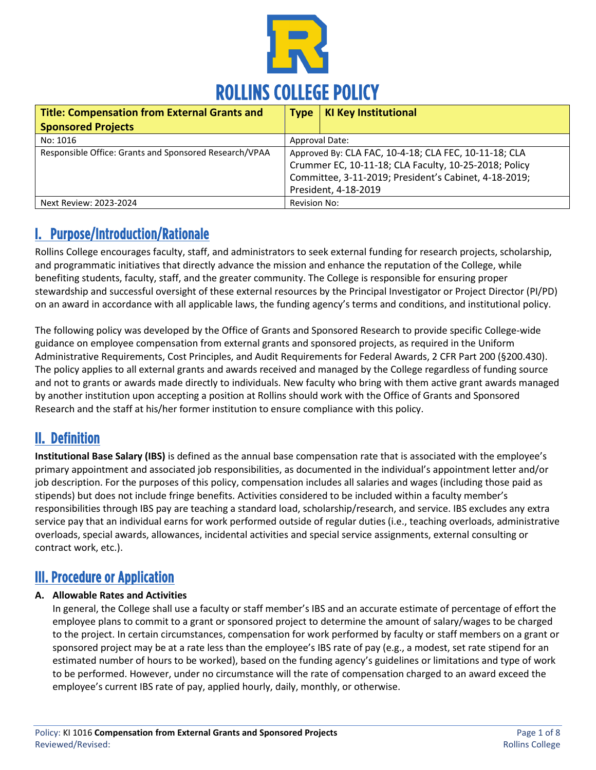

| <b>Title: Compensation from External Grants and</b>    | <b>Type</b>                                                                                                                                                                                     | <b>KI Key Institutional</b> |
|--------------------------------------------------------|-------------------------------------------------------------------------------------------------------------------------------------------------------------------------------------------------|-----------------------------|
| <b>Sponsored Projects</b>                              |                                                                                                                                                                                                 |                             |
| No: 1016                                               | Approval Date:                                                                                                                                                                                  |                             |
| Responsible Office: Grants and Sponsored Research/VPAA | Approved By: CLA FAC, 10-4-18; CLA FEC, 10-11-18; CLA<br>Crummer EC, 10-11-18; CLA Faculty, 10-25-2018; Policy<br>Committee, 3-11-2019; President's Cabinet, 4-18-2019;<br>President, 4-18-2019 |                             |
| Next Review: 2023-2024                                 | Revision No:                                                                                                                                                                                    |                             |

# I. Purpose/Introduction/Rationale

Rollins College encourages faculty, staff, and administrators to seek external funding for research projects, scholarship, and programmatic initiatives that directly advance the mission and enhance the reputation of the College, while benefiting students, faculty, staff, and the greater community. The College is responsible for ensuring proper stewardship and successful oversight of these external resources by the Principal Investigator or Project Director (PI/PD) on an award in accordance with all applicable laws, the funding agency's terms and conditions, and institutional policy.

The following policy was developed by the Office of Grants and Sponsored Research to provide specific College-wide guidance on employee compensation from external grants and sponsored projects, as required in the Uniform Administrative Requirements, Cost Principles, and Audit Requirements for Federal Awards, 2 CFR Part 200 (§200.430). The policy applies to all external grants and awards received and managed by the College regardless of funding source and not to grants or awards made directly to individuals. New faculty who bring with them active grant awards managed by another institution upon accepting a position at Rollins should work with the Office of Grants and Sponsored Research and the staff at his/her former institution to ensure compliance with this policy.

# II. Definition

**Institutional Base Salary (IBS)** is defined as the annual base compensation rate that is associated with the employee's primary appointment and associated job responsibilities, as documented in the individual's appointment letter and/or job description. For the purposes of this policy, compensation includes all salaries and wages (including those paid as stipends) but does not include fringe benefits. Activities considered to be included within a faculty member's responsibilities through IBS pay are teaching a standard load, scholarship/research, and service. IBS excludes any extra service pay that an individual earns for work performed outside of regular duties (i.e., teaching overloads, administrative overloads, special awards, allowances, incidental activities and special service assignments, external consulting or contract work, etc.).

# III. Procedure or Application

## **A. Allowable Rates and Activities**

In general, the College shall use a faculty or staff member's IBS and an accurate estimate of percentage of effort the employee plans to commit to a grant or sponsored project to determine the amount of salary/wages to be charged to the project. In certain circumstances, compensation for work performed by faculty or staff members on a grant or sponsored project may be at a rate less than the employee's IBS rate of pay (e.g., a modest, set rate stipend for an estimated number of hours to be worked), based on the funding agency's guidelines or limitations and type of work to be performed. However, under no circumstance will the rate of compensation charged to an award exceed the employee's current IBS rate of pay, applied hourly, daily, monthly, or otherwise.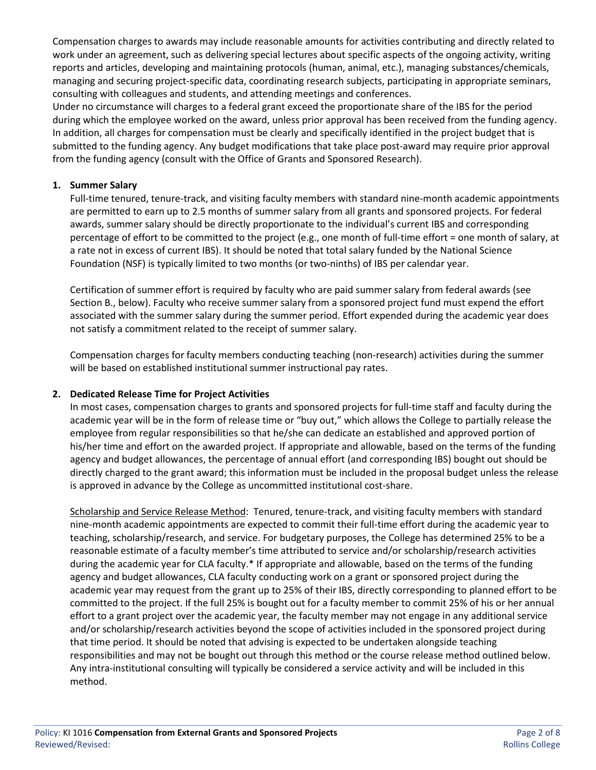Compensation charges to awards may include reasonable amounts for activities contributing and directly related to work under an agreement, such as delivering special lectures about specific aspects of the ongoing activity, writing reports and articles, developing and maintaining protocols (human, animal, etc.), managing substances/chemicals, managing and securing project-specific data, coordinating research subjects, participating in appropriate seminars, consulting with colleagues and students, and attending meetings and conferences.

Under no circumstance will charges to a federal grant exceed the proportionate share of the IBS for the period during which the employee worked on the award, unless prior approval has been received from the funding agency. In addition, all charges for compensation must be clearly and specifically identified in the project budget that is submitted to the funding agency. Any budget modifications that take place post-award may require prior approval from the funding agency (consult with the Office of Grants and Sponsored Research).

#### **1. Summer Salary**

Full-time tenured, tenure-track, and visiting faculty members with standard nine-month academic appointments are permitted to earn up to 2.5 months of summer salary from all grants and sponsored projects. For federal awards, summer salary should be directly proportionate to the individual's current IBS and corresponding percentage of effort to be committed to the project (e.g., one month of full-time effort = one month of salary, at a rate not in excess of current IBS). It should be noted that total salary funded by the National Science Foundation (NSF) is typically limited to two months (or two-ninths) of IBS per calendar year.

Certification of summer effort is required by faculty who are paid summer salary from federal awards (see Section B., below). Faculty who receive summer salary from a sponsored project fund must expend the effort associated with the summer salary during the summer period. Effort expended during the academic year does not satisfy a commitment related to the receipt of summer salary.

Compensation charges for faculty members conducting teaching (non-research) activities during the summer will be based on established institutional summer instructional pay rates.

### **2. Dedicated Release Time for Project Activities**

In most cases, compensation charges to grants and sponsored projects for full-time staff and faculty during the academic year will be in the form of release time or "buy out," which allows the College to partially release the employee from regular responsibilities so that he/she can dedicate an established and approved portion of his/her time and effort on the awarded project. If appropriate and allowable, based on the terms of the funding agency and budget allowances, the percentage of annual effort (and corresponding IBS) bought out should be directly charged to the grant award; this information must be included in the proposal budget unless the release is approved in advance by the College as uncommitted institutional cost-share.

Scholarship and Service Release Method:Tenured, tenure-track, and visiting faculty members with standard nine-month academic appointments are expected to commit their full-time effort during the academic year to teaching, scholarship/research, and service. For budgetary purposes, the College has determined 25% to be a reasonable estimate of a faculty member's time attributed to service and/or scholarship/research activities during the academic year for CLA faculty.\* If appropriate and allowable, based on the terms of the funding agency and budget allowances, CLA faculty conducting work on a grant or sponsored project during the academic year may request from the grant up to 25% of their IBS, directly corresponding to planned effort to be committed to the project. If the full 25% is bought out for a faculty member to commit 25% of his or her annual effort to a grant project over the academic year, the faculty member may not engage in any additional service and/or scholarship/research activities beyond the scope of activities included in the sponsored project during that time period. It should be noted that advising is expected to be undertaken alongside teaching responsibilities and may not be bought out through this method or the course release method outlined below. Any intra-institutional consulting will typically be considered a service activity and will be included in this method.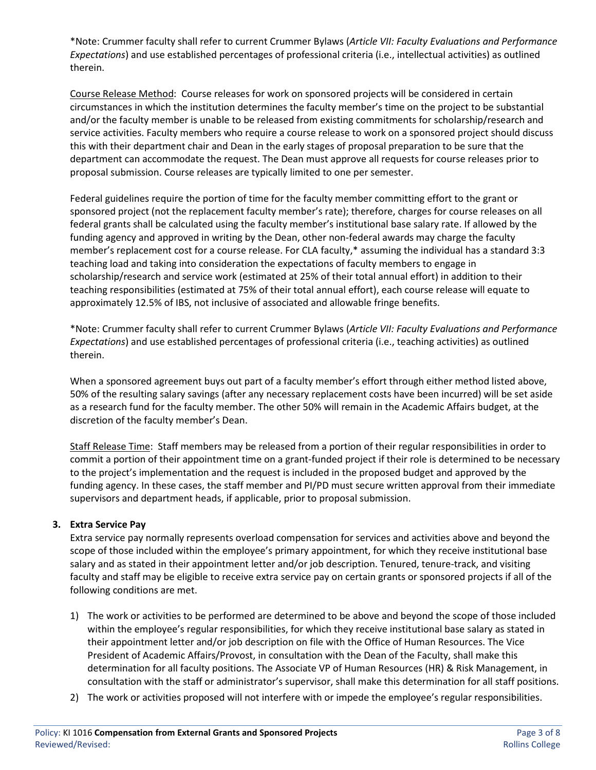\*Note: Crummer faculty shall refer to current Crummer Bylaws (*Article VII: Faculty Evaluations and Performance Expectations*) and use established percentages of professional criteria (i.e., intellectual activities) as outlined therein.

Course Release Method: Course releases for work on sponsored projects will be considered in certain circumstances in which the institution determines the faculty member's time on the project to be substantial and/or the faculty member is unable to be released from existing commitments for scholarship/research and service activities. Faculty members who require a course release to work on a sponsored project should discuss this with their department chair and Dean in the early stages of proposal preparation to be sure that the department can accommodate the request. The Dean must approve all requests for course releases prior to proposal submission. Course releases are typically limited to one per semester.

Federal guidelines require the portion of time for the faculty member committing effort to the grant or sponsored project (not the replacement faculty member's rate); therefore, charges for course releases on all federal grants shall be calculated using the faculty member's institutional base salary rate. If allowed by the funding agency and approved in writing by the Dean, other non-federal awards may charge the faculty member's replacement cost for a course release. For CLA faculty,\* assuming the individual has a standard 3:3 teaching load and taking into consideration the expectations of faculty members to engage in scholarship/research and service work (estimated at 25% of their total annual effort) in addition to their teaching responsibilities (estimated at 75% of their total annual effort), each course release will equate to approximately 12.5% of IBS, not inclusive of associated and allowable fringe benefits.

\*Note: Crummer faculty shall refer to current Crummer Bylaws (*Article VII: Faculty Evaluations and Performance Expectations*) and use established percentages of professional criteria (i.e., teaching activities) as outlined therein.

When a sponsored agreement buys out part of a faculty member's effort through either method listed above, 50% of the resulting salary savings (after any necessary replacement costs have been incurred) will be set aside as a research fund for the faculty member. The other 50% will remain in the Academic Affairs budget, at the discretion of the faculty member's Dean.

Staff Release Time: Staff members may be released from a portion of their regular responsibilities in order to commit a portion of their appointment time on a grant-funded project if their role is determined to be necessary to the project's implementation and the request is included in the proposed budget and approved by the funding agency. In these cases, the staff member and PI/PD must secure written approval from their immediate supervisors and department heads, if applicable, prior to proposal submission.

### **3. Extra Service Pay**

Extra service pay normally represents overload compensation for services and activities above and beyond the scope of those included within the employee's primary appointment, for which they receive institutional base salary and as stated in their appointment letter and/or job description. Tenured, tenure-track, and visiting faculty and staff may be eligible to receive extra service pay on certain grants or sponsored projects if all of the following conditions are met.

- 1) The work or activities to be performed are determined to be above and beyond the scope of those included within the employee's regular responsibilities, for which they receive institutional base salary as stated in their appointment letter and/or job description on file with the Office of Human Resources. The Vice President of Academic Affairs/Provost, in consultation with the Dean of the Faculty, shall make this determination for all faculty positions. The Associate VP of Human Resources (HR) & Risk Management, in consultation with the staff or administrator's supervisor, shall make this determination for all staff positions.
- 2) The work or activities proposed will not interfere with or impede the employee's regular responsibilities.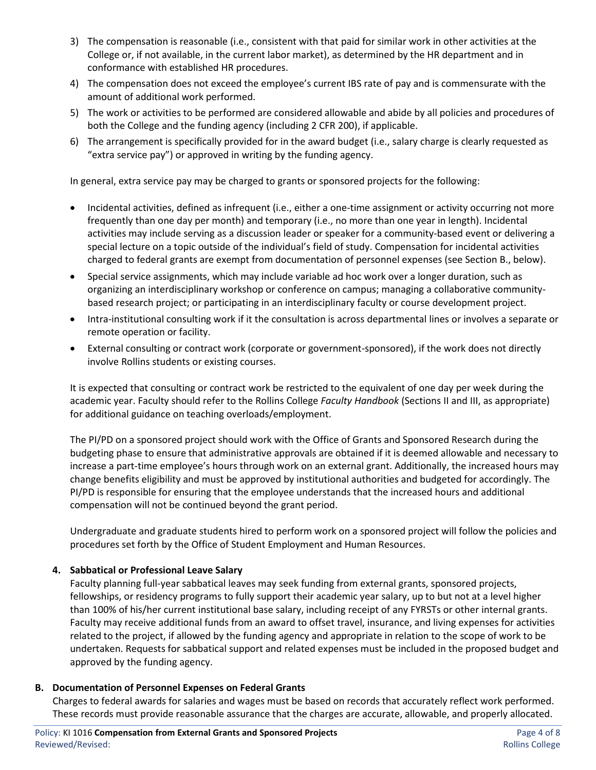- 3) The compensation is reasonable (i.e., consistent with that paid for similar work in other activities at the College or, if not available, in the current labor market), as determined by the HR department and in conformance with established HR procedures.
- 4) The compensation does not exceed the employee's current IBS rate of pay and is commensurate with the amount of additional work performed.
- 5) The work or activities to be performed are considered allowable and abide by all policies and procedures of both the College and the funding agency (including 2 CFR 200), if applicable.
- 6) The arrangement is specifically provided for in the award budget (i.e., salary charge is clearly requested as "extra service pay") or approved in writing by the funding agency.

In general, extra service pay may be charged to grants or sponsored projects for the following:

- Incidental activities, defined as infrequent (i.e., either a one-time assignment or activity occurring not more frequently than one day per month) and temporary (i.e., no more than one year in length). Incidental activities may include serving as a discussion leader or speaker for a community-based event or delivering a special lecture on a topic outside of the individual's field of study. Compensation for incidental activities charged to federal grants are exempt from documentation of personnel expenses (see Section B., below).
- Special service assignments, which may include variable ad hoc work over a longer duration, such as organizing an interdisciplinary workshop or conference on campus; managing a collaborative communitybased research project; or participating in an interdisciplinary faculty or course development project.
- Intra-institutional consulting work if it the consultation is across departmental lines or involves a separate or remote operation or facility.
- External consulting or contract work (corporate or government-sponsored), if the work does not directly involve Rollins students or existing courses.

It is expected that consulting or contract work be restricted to the equivalent of one day per week during the academic year. Faculty should refer to the Rollins College *Faculty Handbook* (Sections II and III, as appropriate) for additional guidance on teaching overloads/employment.

The PI/PD on a sponsored project should work with the Office of Grants and Sponsored Research during the budgeting phase to ensure that administrative approvals are obtained if it is deemed allowable and necessary to increase a part-time employee's hours through work on an external grant. Additionally, the increased hours may change benefits eligibility and must be approved by institutional authorities and budgeted for accordingly. The PI/PD is responsible for ensuring that the employee understands that the increased hours and additional compensation will not be continued beyond the grant period.

Undergraduate and graduate students hired to perform work on a sponsored project will follow the policies and procedures set forth by the Office of Student Employment and Human Resources.

### **4. Sabbatical or Professional Leave Salary**

Faculty planning full-year sabbatical leaves may seek funding from external grants, sponsored projects, fellowships, or residency programs to fully support their academic year salary, up to but not at a level higher than 100% of his/her current institutional base salary, including receipt of any FYRSTs or other internal grants. Faculty may receive additional funds from an award to offset travel, insurance, and living expenses for activities related to the project, if allowed by the funding agency and appropriate in relation to the scope of work to be undertaken. Requests for sabbatical support and related expenses must be included in the proposed budget and approved by the funding agency.

#### **B. Documentation of Personnel Expenses on Federal Grants**

Charges to federal awards for salaries and wages must be based on records that accurately reflect work performed. These records must provide reasonable assurance that the charges are accurate, allowable, and properly allocated.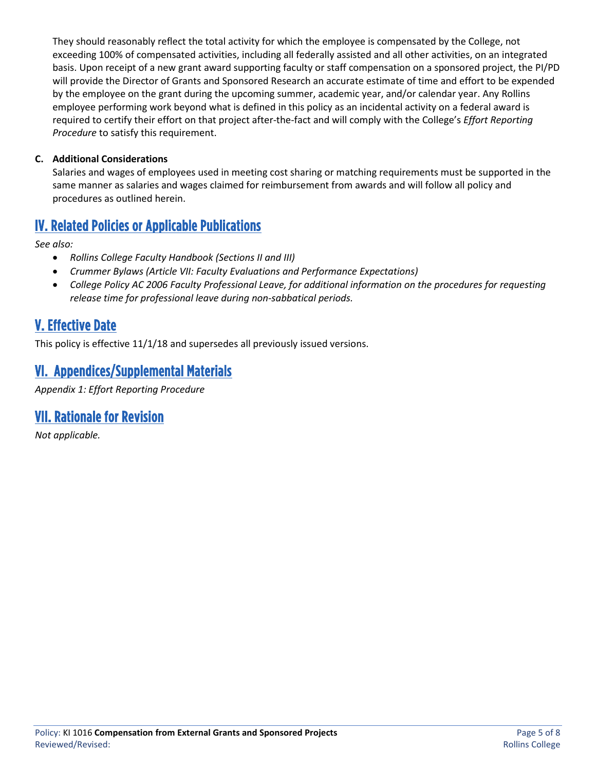They should reasonably reflect the total activity for which the employee is compensated by the College, not exceeding 100% of compensated activities, including all federally assisted and all other activities, on an integrated basis. Upon receipt of a new grant award supporting faculty or staff compensation on a sponsored project, the PI/PD will provide the Director of Grants and Sponsored Research an accurate estimate of time and effort to be expended by the employee on the grant during the upcoming summer, academic year, and/or calendar year. Any Rollins employee performing work beyond what is defined in this policy as an incidental activity on a federal award is required to certify their effort on that project after-the-fact and will comply with the College's *Effort Reporting Procedure* to satisfy this requirement.

### **C. Additional Considerations**

Salaries and wages of employees used in meeting cost sharing or matching requirements must be supported in the same manner as salaries and wages claimed for reimbursement from awards and will follow all policy and procedures as outlined herein.

# IV. Related Policies or Applicable Publications

*See also:* 

- *Rollins College Faculty Handbook (Sections II and III)*
- *Crummer Bylaws (Article VII: Faculty Evaluations and Performance Expectations)*
- *College Policy AC 2006 Faculty Professional Leave, for additional information on the procedures for requesting release time for professional leave during non-sabbatical periods.*

# V. Effective Date

This policy is effective 11/1/18 and supersedes all previously issued versions.

# VI. Appendices/Supplemental Materials

*Appendix 1: Effort Reporting Procedure*

# VII. Rationale for Revision

*Not applicable.*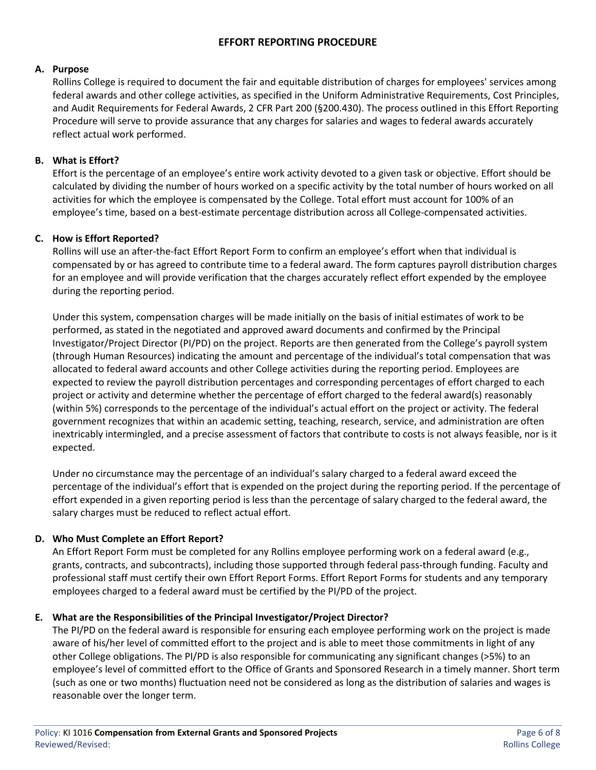### **A. Purpose**

Rollins College is required to document the fair and equitable distribution of charges for employees' services among federal awards and other college activities, as specified in the Uniform Administrative Requirements, Cost Principles, and Audit Requirements for Federal Awards, 2 CFR Part 200 (§200.430). The process outlined in this Effort Reporting Procedure will serve to provide assurance that any charges for salaries and wages to federal awards accurately reflect actual work performed.

## **B. What is Effort?**

Effort is the percentage of an employee's entire work activity devoted to a given task or objective. Effort should be calculated by dividing the number of hours worked on a specific activity by the total number of hours worked on all activities for which the employee is compensated by the College. Total effort must account for 100% of an employee's time, based on a best-estimate percentage distribution across all College-compensated activities.

## **C. How is Effort Reported?**

Rollins will use an after-the-fact Effort Report Form to confirm an employee's effort when that individual is compensated by or has agreed to contribute time to a federal award. The form captures payroll distribution charges for an employee and will provide verification that the charges accurately reflect effort expended by the employee during the reporting period.

Under this system, compensation charges will be made initially on the basis of initial estimates of work to be performed, as stated in the negotiated and approved award documents and confirmed by the Principal Investigator/Project Director (PI/PD) on the project. Reports are then generated from the College's payroll system (through Human Resources) indicating the amount and percentage of the individual's total compensation that was allocated to federal award accounts and other College activities during the reporting period. Employees are expected to review the payroll distribution percentages and corresponding percentages of effort charged to each project or activity and determine whether the percentage of effort charged to the federal award(s) reasonably (within 5%) corresponds to the percentage of the individual's actual effort on the project or activity. The federal government recognizes that within an academic setting, teaching, research, service, and administration are often inextricably intermingled, and a precise assessment of factors that contribute to costs is not always feasible, nor is it expected.

Under no circumstance may the percentage of an individual's salary charged to a federal award exceed the percentage of the individual's effort that is expended on the project during the reporting period. If the percentage of effort expended in a given reporting period is less than the percentage of salary charged to the federal award, the salary charges must be reduced to reflect actual effort.

## **D. Who Must Complete an Effort Report?**

An Effort Report Form must be completed for any Rollins employee performing work on a federal award (e.g., grants, contracts, and subcontracts), including those supported through federal pass-through funding. Faculty and professional staff must certify their own Effort Report Forms. Effort Report Forms for students and any temporary employees charged to a federal award must be certified by the PI/PD of the project.

## **E. What are the Responsibilities of the Principal Investigator/Project Director?**

The PI/PD on the federal award is responsible for ensuring each employee performing work on the project is made aware of his/her level of committed effort to the project and is able to meet those commitments in light of any other College obligations. The PI/PD is also responsible for communicating any significant changes (>5%) to an employee's level of committed effort to the Office of Grants and Sponsored Research in a timely manner. Short term (such as one or two months) fluctuation need not be considered as long as the distribution of salaries and wages is reasonable over the longer term.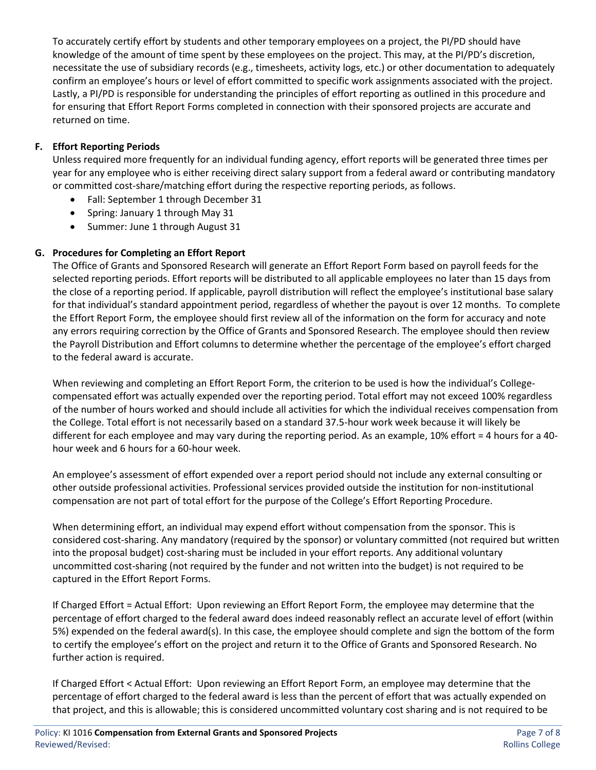To accurately certify effort by students and other temporary employees on a project, the PI/PD should have knowledge of the amount of time spent by these employees on the project. This may, at the PI/PD's discretion, necessitate the use of subsidiary records (e.g., timesheets, activity logs, etc.) or other documentation to adequately confirm an employee's hours or level of effort committed to specific work assignments associated with the project. Lastly, a PI/PD is responsible for understanding the principles of effort reporting as outlined in this procedure and for ensuring that Effort Report Forms completed in connection with their sponsored projects are accurate and returned on time.

## **F. Effort Reporting Periods**

Unless required more frequently for an individual funding agency, effort reports will be generated three times per year for any employee who is either receiving direct salary support from a federal award or contributing mandatory or committed cost-share/matching effort during the respective reporting periods, as follows.

- Fall: September 1 through December 31
- Spring: January 1 through May 31
- Summer: June 1 through August 31

## **G. Procedures for Completing an Effort Report**

The Office of Grants and Sponsored Research will generate an Effort Report Form based on payroll feeds for the selected reporting periods. Effort reports will be distributed to all applicable employees no later than 15 days from the close of a reporting period. If applicable, payroll distribution will reflect the employee's institutional base salary for that individual's standard appointment period, regardless of whether the payout is over 12 months. To complete the Effort Report Form, the employee should first review all of the information on the form for accuracy and note any errors requiring correction by the Office of Grants and Sponsored Research. The employee should then review the Payroll Distribution and Effort columns to determine whether the percentage of the employee's effort charged to the federal award is accurate.

When reviewing and completing an Effort Report Form, the criterion to be used is how the individual's Collegecompensated effort was actually expended over the reporting period. Total effort may not exceed 100% regardless of the number of hours worked and should include all activities for which the individual receives compensation from the College. Total effort is not necessarily based on a standard 37.5-hour work week because it will likely be different for each employee and may vary during the reporting period. As an example, 10% effort = 4 hours for a 40 hour week and 6 hours for a 60-hour week.

An employee's assessment of effort expended over a report period should not include any external consulting or other outside professional activities. Professional services provided outside the institution for non-institutional compensation are not part of total effort for the purpose of the College's Effort Reporting Procedure.

When determining effort, an individual may expend effort without compensation from the sponsor. This is considered cost-sharing. Any mandatory (required by the sponsor) or voluntary committed (not required but written into the proposal budget) cost-sharing must be included in your effort reports. Any additional voluntary uncommitted cost-sharing (not required by the funder and not written into the budget) is not required to be captured in the Effort Report Forms.

If Charged Effort = Actual Effort: Upon reviewing an Effort Report Form, the employee may determine that the percentage of effort charged to the federal award does indeed reasonably reflect an accurate level of effort (within 5%) expended on the federal award(s). In this case, the employee should complete and sign the bottom of the form to certify the employee's effort on the project and return it to the Office of Grants and Sponsored Research. No further action is required.

If Charged Effort < Actual Effort: Upon reviewing an Effort Report Form, an employee may determine that the percentage of effort charged to the federal award is less than the percent of effort that was actually expended on that project, and this is allowable; this is considered uncommitted voluntary cost sharing and is not required to be